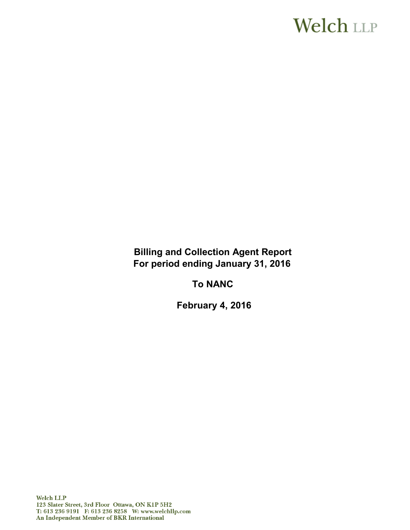# **Welch LLP**

**Billing and Collection Agent Report For period ending January 31, 2016**

**To NANC**

**February 4, 2016**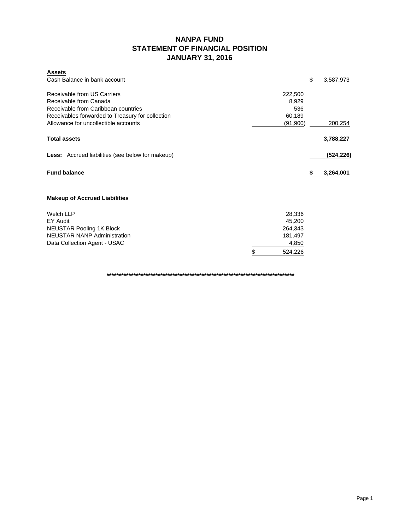### **NANPA FUND STATEMENT OF FINANCIAL POSITION JANUARY 31, 2016**

| <b>Assets</b><br>Cash Balance in bank account                                                                                                    |                                   | \$ | 3,587,973  |
|--------------------------------------------------------------------------------------------------------------------------------------------------|-----------------------------------|----|------------|
| Receivable from US Carriers<br>Receivable from Canada<br>Receivable from Caribbean countries<br>Receivables forwarded to Treasury for collection | 222,500<br>8,929<br>536<br>60,189 |    |            |
| Allowance for uncollectible accounts                                                                                                             | (91,900)                          |    | 200,254    |
| <b>Total assets</b>                                                                                                                              |                                   |    | 3,788,227  |
| <b>Less:</b> Accrued liabilities (see below for makeup)                                                                                          |                                   |    | (524, 226) |
| <b>Fund balance</b>                                                                                                                              |                                   | S  | 3,264,001  |
| <b>Makeup of Accrued Liabilities</b>                                                                                                             |                                   |    |            |
| <b>Welch LLP</b>                                                                                                                                 | 28,336                            |    |            |
| EY Audit                                                                                                                                         | 45,200<br>264,343                 |    |            |
|                                                                                                                                                  |                                   |    |            |
| <b>NEUSTAR Pooling 1K Block</b><br><b>NEUSTAR NANP Administration</b>                                                                            | 181,497                           |    |            |
| Data Collection Agent - USAC                                                                                                                     | 4,850                             |    |            |

**\*\*\*\*\*\*\*\*\*\*\*\*\*\*\*\*\*\*\*\*\*\*\*\*\*\*\*\*\*\*\*\*\*\*\*\*\*\*\*\*\*\*\*\*\*\*\*\*\*\*\*\*\*\*\*\*\*\*\*\*\*\*\*\*\*\*\*\*\*\*\*\*\*\*\*\*\***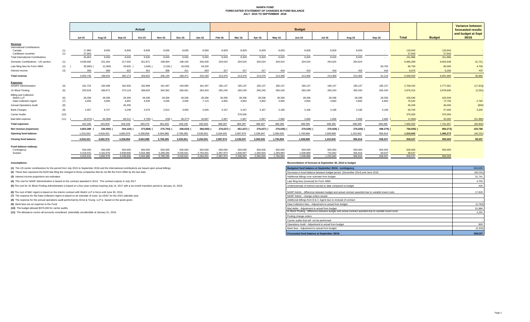#### **NANPA FUND FORECASTED STATEMENT OF CHANGES IN FUND BALANCE JULY 2015 TO SEPTEMBER 2016**

|                                                |            | Actual               |                      |                      |                      |                      |                      |                      | <b>Budget</b>        |                           |                      |                           |                      |                     |                    |                   |                   |                   | <b>Variance between</b><br>forecasted results |
|------------------------------------------------|------------|----------------------|----------------------|----------------------|----------------------|----------------------|----------------------|----------------------|----------------------|---------------------------|----------------------|---------------------------|----------------------|---------------------|--------------------|-------------------|-------------------|-------------------|-----------------------------------------------|
|                                                |            | <b>Jul-15</b>        | Aug-15               | Sep-15               | Oct-15               | <b>Nov-15</b>        | <b>Dec-15</b>        | <b>Jan-16</b>        | Feb-16               | Mar-16                    | Apr-16               | Mav-16                    | <b>Jun-16</b>        | <b>Jul-16</b>       | Aug-16             | Sep-16            | <b>Total</b>      | <b>Budget</b>     | and budget at Sept<br>30/16                   |
| Revenue<br><b>International Contributions</b>  |            |                      |                      |                      |                      |                      |                      |                      |                      |                           |                      |                           |                      |                     |                    |                   |                   |                   |                                               |
| Canada<br>Caribbean countries                  | (1)<br>(1) | 17,860<br>27,943     | 8,930<br>$\sim$ $-$  | 8,930<br>$\sim$ $-$  | 8,930<br>$\sim$      | 8,930<br>$\sim$      | 8,930                | 8,930<br>$\sim$      | 8,929<br>$\sim$      | 8,929<br>$\sim$ 100 $\mu$ | 8,929<br>$\sim$      | 8,929<br>$\sim$ 100 $\mu$ | 8,929<br>$\sim$ $-$  | 8,929<br>$\sim$ $-$ | 8,929<br>$\sim$    | $\sim$            | 133,943<br>27,943 | 133,943<br>27,943 |                                               |
| <b>Total International Contributions</b>       |            | 45,803               | 8,930                | 8,930                | 8,930                | 8,930                | 8,930                | 8,930                | 8,929                | 8,929                     | 8,929                | 8,929                     | 8,929                | 8,929               | 8,929              | $\sim$            | 161,886           | 161,886           |                                               |
| Domestic Contributions - US carriers           | (1)        | 4,038,482            | 201,264              | 217,020              | 201,871              | 199,904              | 198,150              | 200,430              | 204,024              | 204,024                   | 204,024              | 204,024                   | 204,024              | 204,024             | 204,024            |                   | 6,685,289         | 6,653,548         | 31,741                                        |
| Late filing fees for Form 499A                 | (2)        | 28,900)              | 12,300               | 33,600               | 1,600)               | 3,100)               | 18,020)              | 24,320               |                      |                           |                      |                           |                      |                     |                    | 90,700            | 84,700            | 80,000            | 4,700                                         |
| Interest income                                | (3)        | 350                  | 660                  | 623                  | 401                  | 396                  | 411                  | 503                  | 417                  | 417                       | 417                  | 416                       | 416                  | 416                 | 416                | 416               | 6,675             | 6,250             | 425                                           |
| <b>Total revenue</b>                           |            | 4.055.735            | 198,554              | 260.173              | 209,602              | 206,130              | 189.471              | 234.183              | 213,370              | 213,370                   | 213,370              | 213,369                   | 213,369              | 213,369             | 213,369            | 91.116            | 6.938,550         | 6.901.684         | 36,866                                        |
| <b>Expenses</b><br><b>NANPA Administration</b> | (4)        | 181,724              | 183,408              | 182,926              | 182,999              | 181,497              | 184,095              | 181,497              | 185,137              | 185,137                   | 185,137              | 185,137                   | 185,137              | 185,137             | 185,137            | 185,137           | 2,759,242         | 2,777,061         | (17, 819)                                     |
| 1K Block Pooling                               | (5)        | 253,919              | 266,971              | 270,119              | 268,620              | 264,362              | 266,061              | 264,343              | 265,240              | 265,240                   | 265,240              | 265,240                   | 265,240              | 265,240             | 265,240            | 265,240           | 3,976,315         | 3,978,606         | (2, 291)                                      |
| <b>Billing and Collection</b>                  |            |                      |                      |                      |                      |                      |                      |                      |                      |                           |                      |                           |                      |                     |                    |                   |                   |                   |                                               |
| Welch LLP<br>Data Collection Agent             | (6)<br>(7) | 28,336<br>4,935      | 28,336<br>4,935      | 28,336<br>4,952      | 28,336<br>4,935      | 28,336<br>4,935      | 28,336<br>4,935      | 28,336<br>7,115      | 28,336<br>4,850      | 28,336<br>4,850           | 28,336<br>4,850      | 28,336<br>4.850           | 28,336<br>4,850      | 28,336<br>4,850     | 28,336<br>4,850    | 28,336<br>4.850   | 425,040<br>75,542 | 425,040<br>72,750 | 2,792                                         |
| <b>Annual Operations Audit</b>                 | (8)        | $\sim$ $-$           | $\sim$               | 45,200               | $\sim$ $-$           | $\sim$ $-$           | $\sim$               | $\sim$ $-$           | $\sim$               | $\sim$ $-$                | $\sim$               |                           | $\sim$               | $\overline{a}$      |                    | $\sim$            | 45,200            | 46,000            | (800)                                         |
| <b>Bank Charges</b>                            | (9)        | 2.407                | 6,727                | 4,248                | 3.375                | 2,912                | 3.055                | 2,645                | 3.167                | 3.167                     | 3.167                | 3.166                     | 3.166                | 3.166               | 3.166              | 3.166             | 50,700            | 47,500            | 3,200                                         |
| Carrier Audits                                 | (10)       | $\overline{a}$       | $\sim$               | $\sim$               | $\sim$               | $\sim$               | $\sim$               |                      |                      | 375,000                   |                      |                           |                      |                     |                    | $\sim$            | 375,000           | 375,000           |                                               |
| Bad debt expense                               | (11)       | 18.975)              | 56,368)              | 68,512               | 4,795)               | 209)                 | 38,377)              | 16,897               | 2,667                | 2,667                     | 2,667                | 2,666                     | 2,666                | 2,666               | 2,666              | 2,666             | 11,984)           | 40,000            | (51, 984)                                     |
| <b>Total expenses</b>                          |            | 452.346              | 434,009              | 604,293              | 483,470              | 481,833              | 448,105              | 500,833              | 489,397              | 864,397                   | 489,397              | 489,395                   | 489,395              | 489,395             | 489,395            | 489,395           | 7,695,055         | 7,761,957         | (66, 902)                                     |
| Net revenue (expenses)                         |            | 3,603,389            | 235,455)             | 344,120)             | 273,868)             | 275,703)             | 258,634)             | 266,650)             | 276,027)             | 651,027)                  | 276,027)             | 276,026)                  | 276,026)             | 276,026)            | 276,026)           | 398,279)          | 756,505)          | 860,273)          | 103,768                                       |
| <b>Opening fund balance</b>                    |            | 1,315,042            | 4,918,431            | 4.682.976            | 4.338.856            | 4.064.988            | 3,789,285            | 3,530,651            | 3.264.001            | 2,987,974                 | 2,336,947            | 2,060,920                 | 1,784,894            | 1,508,868           | 1,232,842          | 956,816           | 1,315,042         | 1,360,273         | (45, 231)                                     |
| <b>Closing fund balance</b>                    |            | 4,918,431            | 4,682,976            | 4.338.856            | 4,064,988            | 3,789,285            | 3,530,651            | 3,264,001            | 2,987,974            | 2,336,947                 | 2,060,920            | 1,784,894                 | 1,508,868            | 1,232,842           | 956.816            | 558,537           | 558,537           | 500.000           | 58,537                                        |
| Fund balance makeup:                           |            |                      |                      |                      |                      |                      |                      |                      |                      |                           |                      |                           |                      |                     |                    |                   |                   |                   |                                               |
| Contingency<br>Surplus                         |            | 500,000<br>4.418.431 | 500,000<br>4.182.976 | 500,000<br>3.838.856 | 500,000<br>3.564.988 | 500,000<br>3.289.285 | 500,000<br>3.030.651 | 500,000<br>2.764.001 | 500,000<br>2.487.974 | 500,000<br>1.836.947      | 500,000<br>1.560.920 | 500,000<br>1.284.894      | 500,000<br>1.008.868 | 500,000<br>732.842  | 500,000<br>456,816 | 500,000<br>58.537 | 500,000<br>58,537 | 500,000           |                                               |
|                                                |            | 4.918.431            | 4.682.976            | 4.338.856            | 4.064.988            | 3.789.285            | 3.530.651            | 3.264.001            | 2.987.974            | 2.336.947                 | 2.060.920            | 1.784.894                 | 1.508.868            | 1.232.842           | 956,816            | 558.537           | 558,537           | 500,000           |                                               |

**(1)** The US carrier contributions for the period from July 2015 to September 2016 and the International contributions are based upon actual billings.

(2) These fees represent the \$100 late filing fee charged to those companies that do not file the Form 499A by the due date.

**(3)** Interest income projections are estimates

**(4)** The cost for NANP Administration is based on the contract awarded in 2013. The contract expires in July 2017.

(5) The cost for 1K Block Pooling Administration is based on a four-year contract expiring July 14, 2017 with a six-month transition period to January 14, 2018.

**(6)** The cost of B&C Agent is based on the interim contract with Welch LLP in force until June 30, 2016.

**(7)** The expense for the Data Collection Agent is based on an estimate of costs by USAC for the 2015 calendar year.

**(8)** The expense for the annual operations audit performed by Ernst & Young LLP is based on the quote given.

**(9)** Bank fees are an expense to the Fund.

**(10)** The budget allowed \$375,000 for carrier audits.

**(11)** The allowance covers all accounts considered potentially uncollectible at January 31, 2016.

**Assumptions: Reconciliation of forecast at September 30, 2016 to budget**

| Budgeted fund balance at September 30/16 - contingency                                                | 500,000   |
|-------------------------------------------------------------------------------------------------------|-----------|
| Decrease in fund balance between budget period (December 2014) and June 2015                          | (45, 231) |
| Additional billings over estimate from budget                                                         | 31.741    |
| Late filing fees (reversal) for Form 499A                                                             | 4.700     |
| Underestimate of interest earned to date compared to budget                                           | 425       |
| NANP Admin - difference between budget and actual contract awarded due to variable travel costs       | 17,819    |
| NANP Admin - change orders issued                                                                     |           |
| Additional billings from B & C Agent due to renewal of contract                                       |           |
| Data Collection fees - Adjustment to actual from budget                                               | (2,792)   |
| Bad debts - Adjustment to actual from budget                                                          | 51,984    |
| IK Block Pooling - difference between budget and actual contract awarded due to variable travel costs | 2.291     |
| Pooling change orders                                                                                 |           |
| Carrier audits that will not be performed                                                             |           |
| Operations Audit - Adjustment to actual from budget                                                   | 800       |
| Bank fees - Adjustment to actual from budget                                                          | (3,200)   |
| Forecasted fund balance at September 30/16                                                            | 558.537   |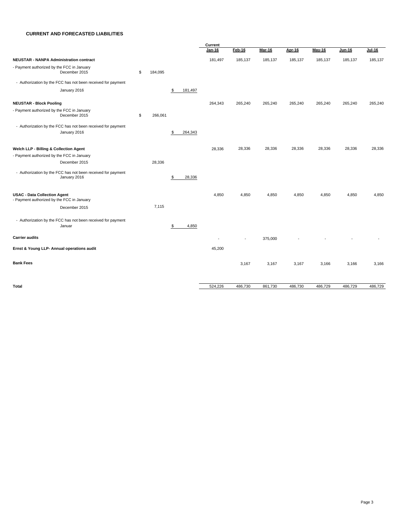#### **CURRENT AND FORECASTED LIABILITIES**

|                                                                                   |               |               | Current                  |          |               |         |         |         |          |  |
|-----------------------------------------------------------------------------------|---------------|---------------|--------------------------|----------|---------------|---------|---------|---------|----------|--|
|                                                                                   |               |               | Jan-16                   | $Feb-16$ | <b>Mar-16</b> | Apr-16  | May-16  | Jun-16  | $Jul-16$ |  |
| <b>NEUSTAR - NANPA Administration contract</b>                                    |               |               | 181,497                  | 185,137  | 185,137       | 185,137 | 185,137 | 185,137 | 185,137  |  |
| - Payment authorized by the FCC in January<br>December 2015                       | \$<br>184,095 |               |                          |          |               |         |         |         |          |  |
| - Authorization by the FCC has not been received for payment                      |               |               |                          |          |               |         |         |         |          |  |
| January 2016                                                                      |               | \$<br>181,497 |                          |          |               |         |         |         |          |  |
| <b>NEUSTAR - Block Pooling</b>                                                    |               |               | 264,343                  | 265,240  | 265,240       | 265,240 | 265,240 | 265,240 | 265,240  |  |
| - Payment authorized by the FCC in January<br>December 2015                       | \$<br>266,061 |               |                          |          |               |         |         |         |          |  |
| - Authorization by the FCC has not been received for payment<br>January 2016      |               | \$<br>264,343 |                          |          |               |         |         |         |          |  |
| Welch LLP - Billing & Collection Agent                                            |               |               | 28,336                   | 28,336   | 28,336        | 28,336  | 28,336  | 28,336  | 28,336   |  |
| - Payment authorized by the FCC in January                                        |               |               |                          |          |               |         |         |         |          |  |
| December 2015                                                                     | 28,336        |               |                          |          |               |         |         |         |          |  |
| - Authorization by the FCC has not been received for payment<br>January 2016      |               | \$<br>28,336  |                          |          |               |         |         |         |          |  |
| <b>USAC - Data Collection Agent</b><br>- Payment authorized by the FCC in January |               |               | 4,850                    | 4,850    | 4,850         | 4,850   | 4,850   | 4,850   | 4,850    |  |
| December 2015                                                                     | 7,115         |               |                          |          |               |         |         |         |          |  |
| - Authorization by the FCC has not been received for payment<br>Januar            |               | \$<br>4,850   |                          |          |               |         |         |         |          |  |
| <b>Carrier audits</b>                                                             |               |               | $\overline{\phantom{a}}$ |          | 375,000       |         |         |         |          |  |
| Ernst & Young LLP- Annual operations audit                                        |               |               | 45,200                   |          |               |         |         |         |          |  |
| <b>Bank Fees</b>                                                                  |               |               |                          | 3,167    | 3,167         | 3,167   | 3,166   | 3,166   | 3,166    |  |
| <b>Total</b>                                                                      |               |               | 524,226                  | 486,730  | 861,730       | 486,730 | 486,729 | 486,729 | 486,729  |  |